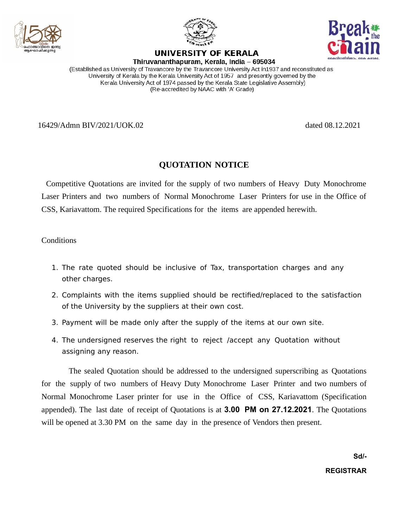





UNIVERSITY OF KERALA Thiruvananthapuram, Kerala, India – 695034

(Established as University of Travancore by the Travancore University Act in 1937 and reconstituted as University of Kerala by the Kerala University Act of 1957 and presently governed by the Kerala University Act of 1974 passed by the Kerala State Legislative Assembly) (Re-accredited by NAAC with 'A' Grade)

16429/Admn BIV/2021/UOK.02 dated 08.12.2021

## **QUOTATION NOTICE**

Competitive Quotations are invited for the supply of two numbers of Heavy Duty Monochrome Laser Printers and two numbers of Normal Monochrome Laser Printers for use in the Office of CSS, Kariavattom. The required Specifications for the items are appended herewith.

**Conditions** 

- 1. The rate quoted should be inclusive of Tax, transportation charges and any other charges.
- 2. Complaints with the items supplied should be rectified/replaced to the satisfaction of the University by the suppliers at their own cost.
- 3. Payment will be made only after the supply of the items at our own site.
- 4. The undersigned reserves the right to reject /accept any Quotation without assigning any reason.

The sealed Quotation should be addressed to the undersigned superscribing as Quotations for the supply of two numbers of Heavy Duty Monochrome Laser Printer and two numbers of Normal Monochrome Laser printer for use in the Office of CSS, Kariavattom (Specification appended). The last date of receipt of Quotations is at **3.00 PM on 27.12.2021**. The Quotations will be opened at 3.30 PM on the same day in the presence of Vendors then present.

> **Sd/- REGISTRAR**